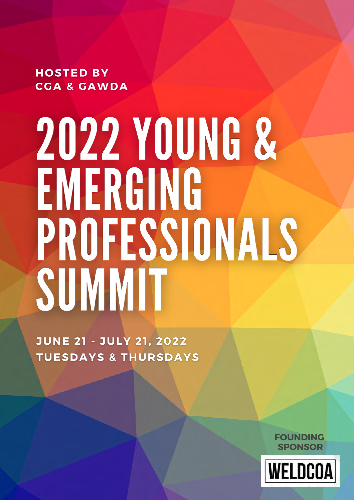**HOSTED BY CGA & GAWDA** 

# **2022 YOUNG &** EMERGING PROFESSIONALS SUMMIT

**JUNE 21 - JULY 21, 2022 TUESDAYS & THURSDAYS** 

> **FOUNDING SPONSOR**

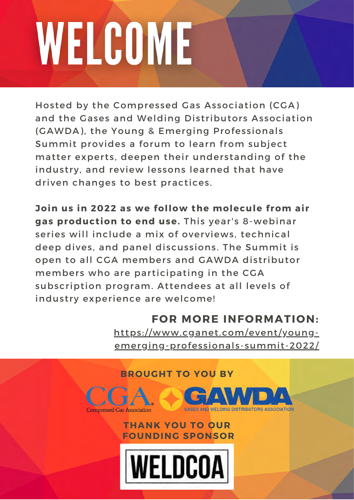# WELCOME

Hosted by the Compressed Gas Association (CGA) and the Gases and Welding Distributors Association (GAWDA), the Young & Emerging Professionals Summit provides a forum to learn from subject matter experts, deepen their understanding of the industry, and review lessons learned that have driven changes to best practices.

**Join us in 2022 as we follow the molecule from air gas production to end use.** This year's 8-webinar series will include a mix of overviews, technical deep dives, and panel discussions. The Summit is open to all CGA members and GAWDA distributor members who are participating in the CGA subscription program. Attendees at all levels of industry experience are welcome!

# **FOR MORE INFORMATION:**

[https://www.cganet.com/event/young](https://www.cganet.com/event/young-emerging-professionals-summit-2022/)emerging-professionals-summit-2022/

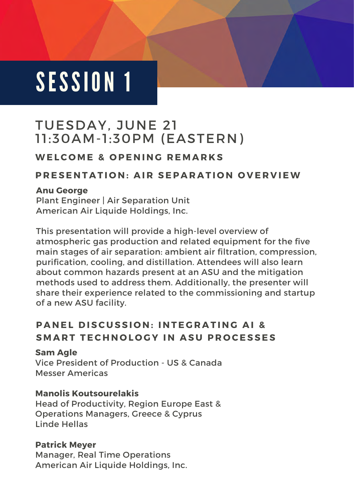# TUESDAY, JUNE 21 11:30AM-1:30PM (EASTERN)

# WELCOME & OPENING REMARKS

# **PRESENTATION: AIR SEPARATION OVERVIEW**

### **Anu George**

Plant Engineer | Air Separation Unit American Air Liquide Holdings, Inc.

This presentation will provide a high-level overview of atmospheric gas production and related equipment for the five main stages of air separation: ambient air filtration, compression, purification, cooling, and distillation. Attendees will also learn about common hazards present at an ASU and the mitigation methods used to address them. Additionally, the presenter will share their experience related to the commissioning and startup of a new ASU facility.

# **PANEL DISCUSSION: INTEGRATING AI & SMART TECHNOLOGY IN ASU PROCESSES**

**Sam Agle** Vice President of Production - US & Canada Messer Americas

## **Manolis Koutsourelakis**

Head of Productivity, Region Europe East & Operations Managers, Greece & Cyprus Linde Hellas

## **Patrick Meyer**

Manager, Real Time Operations American Air Liquide Holdings, Inc.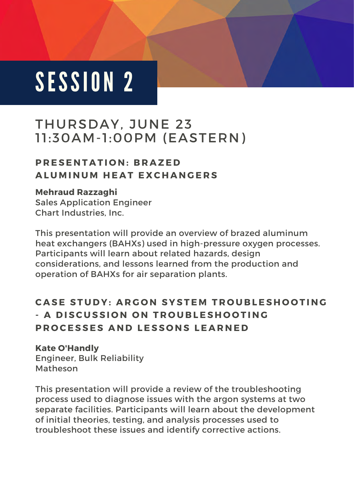# THURSDAY, JUNE 23 11:30AM-1:00PM (EASTERN)

# **P R E S E N T A T I O N : B R A Z E D A L U M I N U M H E A T E X C H A N G E R S**

## **Mehraud Razzaghi**

Sales Application Engineer Chart Industries, Inc.

This presentation will provide an overview of brazed aluminum heat exchangers (BAHXs) used in high-pressure oxygen processes. Participants will learn about related hazards, design considerations, and lessons learned from the production and operation of BAHXs for air separation plants.

# **CASE STUDY: ARGON SYSTEM TROUBLESHOOTING - A DISCUSSION ON TROUBLESHOOTING PROCESSES AND LESSONS LEARNED**

### **Kate O'Handly**

Engineer, Bulk Reliability Matheson

This presentation will provide a review of the troubleshooting process used to diagnose issues with the argon systems at two separate facilities. Participants will learn about the development of initial theories, testing, and analysis processes used to troubleshoot these issues and identify corrective actions.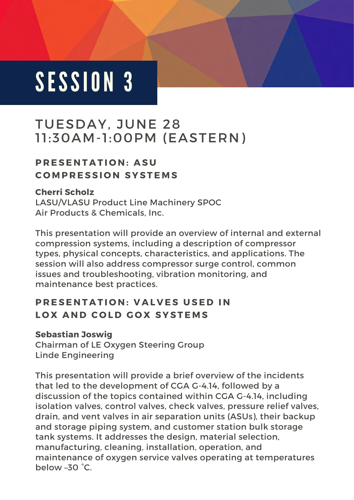# TUESDAY, JUNE 28 11:30AM-1:00PM (EASTERN)

# **PRESENTATION: ASU C O M P R E S S I O N S Y S T E M S**

### **Cherri Scholz**

LASU/VLASU Product Line Machinery SPOC Air Products & Chemicals, Inc.

This presentation will provide an overview of internal and external compression systems, including a description of compressor types, physical concepts, characteristics, and applications. The session will also address compressor surge control, common issues and troubleshooting, vibration monitoring, and maintenance best practices.

# **PRESENTATION: VALVES USED IN LOX AND COLD GOX SYSTEMS**

### **Sebastian Joswig**

Chairman of LE Oxygen Steering Group Linde Engineering

This presentation will provide a brief overview of the incidents that led to the development of CGA G-4.14, followed by a discussion of the topics contained within CGA G-4.14, including isolation valves, control valves, check valves, pressure relief valves, drain, and vent valves in air separation units (ASUs), their backup and storage piping system, and customer station bulk storage tank systems. It addresses the design, material selection, manufacturing, cleaning, installation, operation, and maintenance of oxygen service valves operating at temperatures below –30 °C.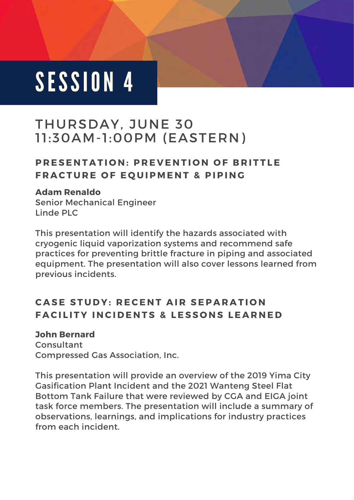# THURSDAY, JUNE 30 11:30AM-1:00PM (EASTERN)

# **PRESENTATION: PREVENTION OF BRITTLE FRACTURE OF EQUIPMENT & PIPING**

### **Adam Renaldo**

Senior Mechanical Engineer Linde PLC

This presentation will identify the hazards associated with cryogenic liquid vaporization systems and recommend safe practices for preventing brittle fracture in piping and associated equipment. The presentation will also cover lessons learned from previous incidents.

# **CASE STUDY: RECENT AIR SEPARATION FACILITY INCIDENTS & LESSONS LEARNED**

### **John Bernard**

Consultant Compressed Gas Association, Inc.

This presentation will provide an overview of the 2019 Yima City Gasification Plant Incident and the 2021 Wanteng Steel Flat Bottom Tank Failure that were reviewed by CGA and EIGA joint task force members. The presentation will include a summary of observations, learnings, and implications for industry practices from each incident.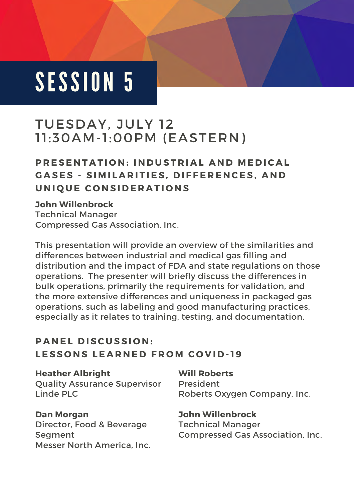# TUESDAY, JULY 12 11:30AM-1:00PM (EASTERN)

# **PRESENTATION: INDUSTRIAL AND MEDICAL** GASES - SIMILARITIES, DIFFERENCES, AND **U N I Q U E C O N S I D E R A T I O N S**

### **John Willenbrock**

Technical Manager Compressed Gas Association, Inc.

This presentation will provide an overview of the similarities and differences between industrial and medical gas filling and distribution and the impact of FDA and state regulations on those operations. The presenter will briefly discuss the differences in bulk operations, primarily the requirements for validation, and the more extensive differences and uniqueness in packaged gas operations, such as labeling and good manufacturing practices, especially as it relates to training, testing, and documentation.

# **PANEL DISCUSSION:** LESSONS LEARNED FROM COVID-19

#### **Heather Albright**

Quality Assurance Supervisor Linde PLC

### **Dan Morgan**

Director, Food & Beverage **Seament** Messer North America, Inc. **Will Roberts** President Roberts Oxygen Company, Inc.

**John Willenbrock** Technical Manager Compressed Gas Association, Inc.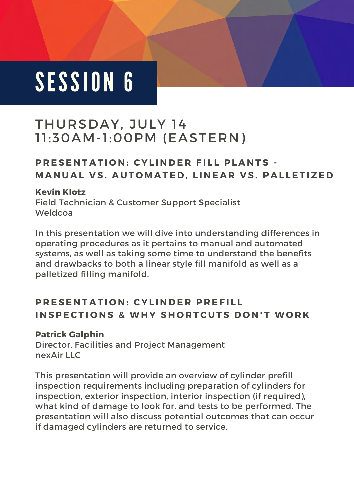# THURSDAY, JULY 14 11:30AM-1:00PM (EASTERN)

# **PRESENTATION: CYLINDER FILL PLANTS -MANUAL VS. AUTOMATED, LINEAR VS. PALLETIZED**

### **Kevin Klotz**

Field Technician & Customer Support Specialist Weldcoa

In this presentation we will dive into understanding differences in operating procedures as it pertains to manual and automated systems, as well as taking some time to understand the benefits and drawbacks to both a linear style fill manifold as well as a palletized filling manifold.

# **PRESENTATION: CYLINDER PREFILL INSPECTIONS & WHY SHORTCUTS DON'T WORK**

### **Patrick Galphin**

Director, Facilities and Project Management nexAir LLC

This presentation will provide an overview of cylinder prefill inspection requirements including preparation of cylinders for inspection, exterior inspection, interior inspection (if required), what kind of damage to look for, and tests to be performed. The presentation will also discuss potential outcomes that can occur if damaged cylinders are returned to service.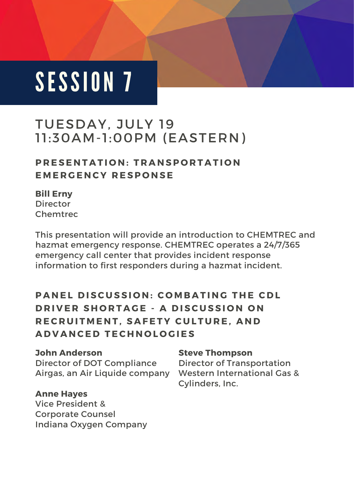# TUESDAY, JULY 19 11:30AM-1:00PM (EASTERN)

# **P R E S E N T A T I O N : T R A N S P O R T A T I O N E M E R G E N C Y R E S P O N S E**

### **Bill Erny**

Director Chemtrec

This presentation will provide an introduction to CHEMTREC and hazmat emergency response. CHEMTREC operates a 24/7/365 emergency call center that provides incident response information to first responders during a hazmat incident.

# **PANEL DISCUSSION: COMBATING THE CDL DRIVER SHORTAGE - A DISCUSSION ON** RECRUITMENT, SAFETY CULTURE, AND **A D V A N C E D T E C H N O L O G I E S**

# **John Anderson**

Director of DOT Compliance Airgas, an Air Liquide company

### **Anne Hayes**

Vice President & Corporate Counsel Indiana Oxygen Company

## **Steve Thompson**

Director of Transportation Western International Gas & Cylinders, Inc.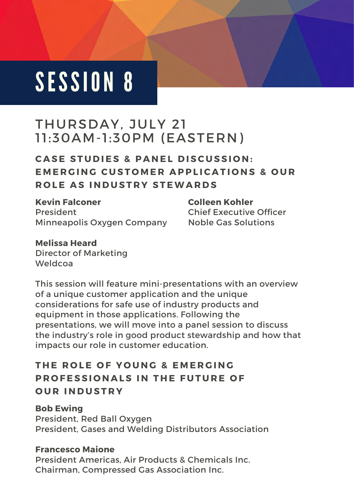# THURSDAY, JULY 21 11:30AM-1:30PM (EASTERN)

# **CASE STUDIES & PANEL DISCUSSION: EMERGING CUSTOMER APPLICATIONS & OUR ROLE AS INDUSTRY STEWARDS**

**Kevin Falconer** President Minneapolis Oxygen Company **Colleen Kohler** Chief Executive Officer Noble Gas Solutions

**Melissa Heard** Director of Marketing Weldcoa

This session will feature mini-presentations with an overview of a unique customer application and the unique considerations for safe use of industry products and equipment in those applications. Following the presentations, we will move into a panel session to discuss the industry's role in good product stewardship and how that impacts our role in customer education.

# **THE ROLE OF YOUNG & EMERGING PROFESSIONALS IN THE FUTURE OF O U R I N D U S T R Y**

**Bob Ewing** President, Red Ball Oxygen President, Gases and Welding Distributors Association

### **Francesco Maione**

President Americas, Air Products & Chemicals Inc. Chairman, Compressed Gas Association Inc.